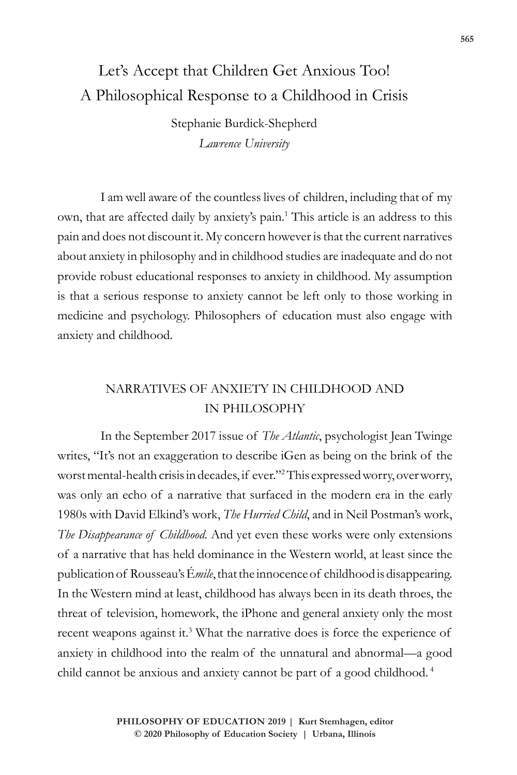# Let's Accept that Children Get Anxious Too! A Philosophical Response to a Childhood in Crisis

Stephanie Burdick-Shepherd *Lawrence University*

I am well aware of the countless lives of children, including that of my own, that are affected daily by anxiety's pain.<sup>1</sup> This article is an address to this pain and does not discount it. My concern however is that the current narratives about anxiety in philosophy and in childhood studies are inadequate and do not provide robust educational responses to anxiety in childhood. My assumption is that a serious response to anxiety cannot be left only to those working in medicine and psychology. Philosophers of education must also engage with anxiety and childhood.

# NARRATIVES OF ANXIETY IN CHILDHOOD AND IN PHILOSOPHY

In the September 2017 issue of *The Atlantic*, psychologist Jean Twinge writes, "It's not an exaggeration to describe iGen as being on the brink of the worst mental-health crisis in decades, if ever."2 This expressed worry, over worry, was only an echo of a narrative that surfaced in the modern era in the early 1980s with David Elkind's work, *The Hurried Child*, and in Neil Postman's work, *The Disappearance of Childhood*. And yet even these works were only extensions of a narrative that has held dominance in the Western world, at least since the publication of Rousseau's É*mile*, that the innocence of childhood is disappearing. In the Western mind at least, childhood has always been in its death throes, the threat of television, homework, the iPhone and general anxiety only the most recent weapons against it.<sup>3</sup> What the narrative does is force the experience of anxiety in childhood into the realm of the unnatural and abnormal—a good child cannot be anxious and anxiety cannot be part of a good childhood.<sup>4</sup>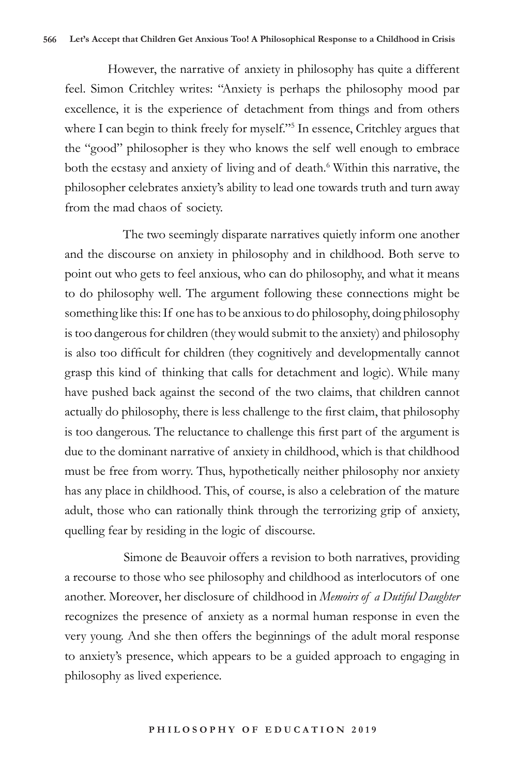However, the narrative of anxiety in philosophy has quite a different feel. Simon Critchley writes: "Anxiety is perhaps the philosophy mood par excellence, it is the experience of detachment from things and from others where I can begin to think freely for myself."<sup>5</sup> In essence, Critchley argues that the "good" philosopher is they who knows the self well enough to embrace both the ecstasy and anxiety of living and of death.<sup>6</sup> Within this narrative, the philosopher celebrates anxiety's ability to lead one towards truth and turn away from the mad chaos of society.

 The two seemingly disparate narratives quietly inform one another and the discourse on anxiety in philosophy and in childhood. Both serve to point out who gets to feel anxious, who can do philosophy, and what it means to do philosophy well. The argument following these connections might be something like this: If one has to be anxious to do philosophy, doing philosophy is too dangerous for children (they would submit to the anxiety) and philosophy is also too difficult for children (they cognitively and developmentally cannot grasp this kind of thinking that calls for detachment and logic). While many have pushed back against the second of the two claims, that children cannot actually do philosophy, there is less challenge to the first claim, that philosophy is too dangerous. The reluctance to challenge this first part of the argument is due to the dominant narrative of anxiety in childhood, which is that childhood must be free from worry. Thus, hypothetically neither philosophy nor anxiety has any place in childhood. This, of course, is also a celebration of the mature adult, those who can rationally think through the terrorizing grip of anxiety, quelling fear by residing in the logic of discourse.

 Simone de Beauvoir offers a revision to both narratives, providing a recourse to those who see philosophy and childhood as interlocutors of one another. Moreover, her disclosure of childhood in *Memoirs of a Dutiful Daughter* recognizes the presence of anxiety as a normal human response in even the very young. And she then offers the beginnings of the adult moral response to anxiety's presence, which appears to be a guided approach to engaging in philosophy as lived experience.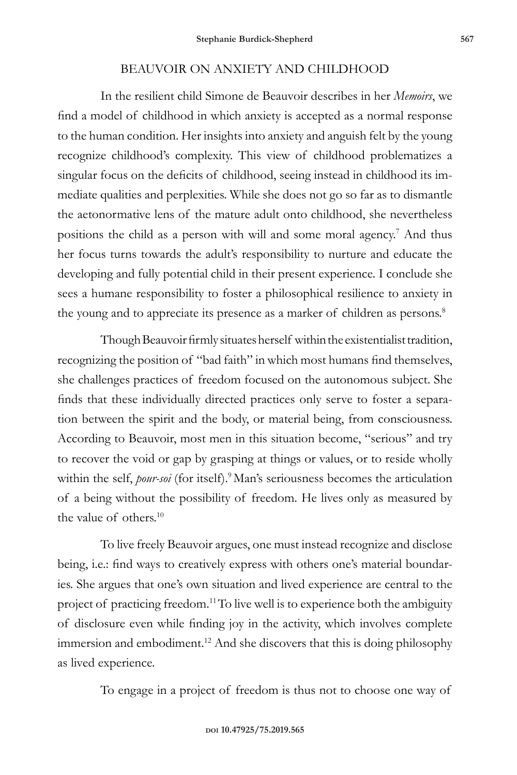## BEAUVOIR ON ANXIETY AND CHILDHOOD

In the resilient child Simone de Beauvoir describes in her *Memoirs*, we find a model of childhood in which anxiety is accepted as a normal response to the human condition. Her insights into anxiety and anguish felt by the young recognize childhood's complexity. This view of childhood problematizes a singular focus on the deficits of childhood, seeing instead in childhood its immediate qualities and perplexities. While she does not go so far as to dismantle the aetonormative lens of the mature adult onto childhood, she nevertheless positions the child as a person with will and some moral agency.<sup>7</sup> And thus her focus turns towards the adult's responsibility to nurture and educate the developing and fully potential child in their present experience. I conclude she sees a humane responsibility to foster a philosophical resilience to anxiety in the young and to appreciate its presence as a marker of children as persons.<sup>8</sup>

Though Beauvoir firmly situates herself within the existentialist tradition, recognizing the position of "bad faith" in which most humans find themselves, she challenges practices of freedom focused on the autonomous subject. She finds that these individually directed practices only serve to foster a separation between the spirit and the body, or material being, from consciousness. According to Beauvoir, most men in this situation become, "serious" and try to recover the void or gap by grasping at things or values, or to reside wholly within the self, *pour-soi* (for itself).<sup>9</sup> Man's seriousness becomes the articulation of a being without the possibility of freedom. He lives only as measured by the value of others.<sup>10</sup>

To live freely Beauvoir argues, one must instead recognize and disclose being, i.e.: find ways to creatively express with others one's material boundaries. She argues that one's own situation and lived experience are central to the project of practicing freedom.<sup>11</sup>To live well is to experience both the ambiguity of disclosure even while finding joy in the activity, which involves complete immersion and embodiment.<sup>12</sup> And she discovers that this is doing philosophy as lived experience.

To engage in a project of freedom is thus not to choose one way of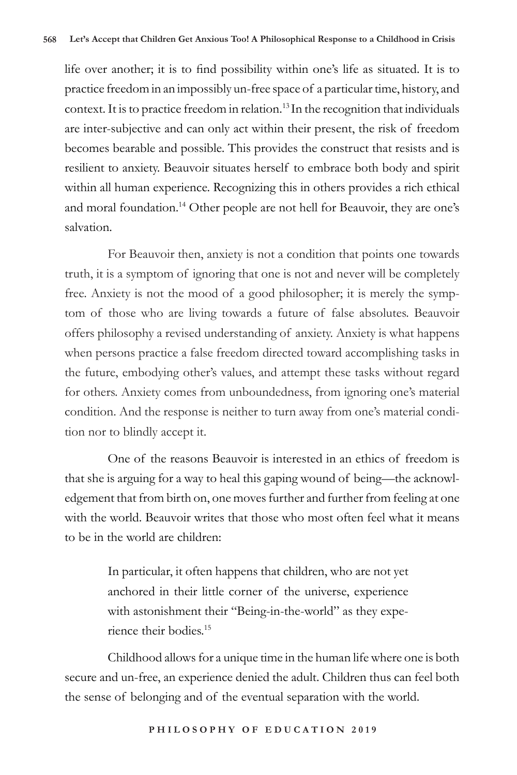life over another; it is to find possibility within one's life as situated. It is to practice freedom in an impossibly un-free space of a particular time, history, and context. It is to practice freedom in relation.<sup>13</sup> In the recognition that individuals are inter-subjective and can only act within their present, the risk of freedom becomes bearable and possible. This provides the construct that resists and is resilient to anxiety. Beauvoir situates herself to embrace both body and spirit within all human experience. Recognizing this in others provides a rich ethical and moral foundation.<sup>14</sup> Other people are not hell for Beauvoir, they are one's salvation.

For Beauvoir then, anxiety is not a condition that points one towards truth, it is a symptom of ignoring that one is not and never will be completely free. Anxiety is not the mood of a good philosopher; it is merely the symptom of those who are living towards a future of false absolutes. Beauvoir offers philosophy a revised understanding of anxiety. Anxiety is what happens when persons practice a false freedom directed toward accomplishing tasks in the future, embodying other's values, and attempt these tasks without regard for others. Anxiety comes from unboundedness, from ignoring one's material condition. And the response is neither to turn away from one's material condition nor to blindly accept it.

One of the reasons Beauvoir is interested in an ethics of freedom is that she is arguing for a way to heal this gaping wound of being—the acknowledgement that from birth on, one moves further and further from feeling at one with the world. Beauvoir writes that those who most often feel what it means to be in the world are children:

> In particular, it often happens that children, who are not yet anchored in their little corner of the universe, experience with astonishment their "Being-in-the-world" as they experience their bodies.15

Childhood allows for a unique time in the human life where one is both secure and un-free, an experience denied the adult. Children thus can feel both the sense of belonging and of the eventual separation with the world.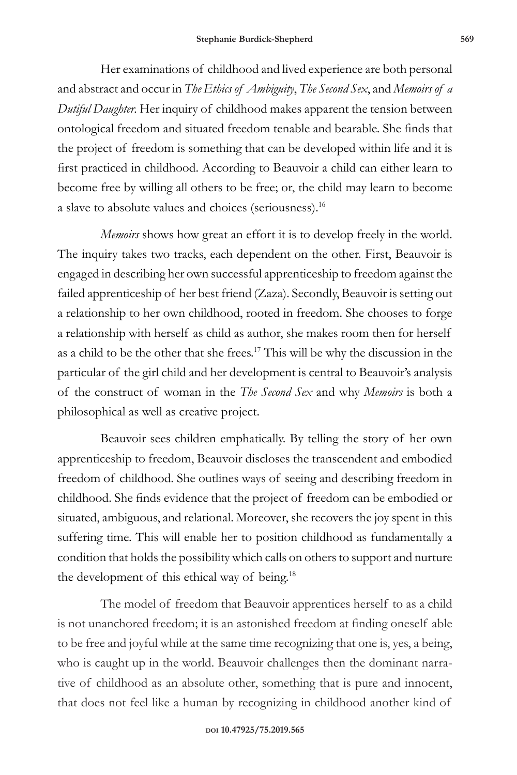Her examinations of childhood and lived experience are both personal and abstract and occur in *The Ethics of Ambiguity*, *The Second Sex*, and *Memoirs of a Dutiful Daughter.* Her inquiry of childhood makes apparent the tension between ontological freedom and situated freedom tenable and bearable. She finds that the project of freedom is something that can be developed within life and it is first practiced in childhood. According to Beauvoir a child can either learn to become free by willing all others to be free; or, the child may learn to become a slave to absolute values and choices (seriousness).16

*Memoirs* shows how great an effort it is to develop freely in the world. The inquiry takes two tracks, each dependent on the other. First, Beauvoir is engaged in describing her own successful apprenticeship to freedom against the failed apprenticeship of her best friend (Zaza). Secondly, Beauvoir is setting out a relationship to her own childhood, rooted in freedom. She chooses to forge a relationship with herself as child as author, she makes room then for herself as a child to be the other that she frees.17 This will be why the discussion in the particular of the girl child and her development is central to Beauvoir's analysis of the construct of woman in the *The Second Sex* and why *Memoirs* is both a philosophical as well as creative project.

Beauvoir sees children emphatically. By telling the story of her own apprenticeship to freedom, Beauvoir discloses the transcendent and embodied freedom of childhood. She outlines ways of seeing and describing freedom in childhood. She finds evidence that the project of freedom can be embodied or situated, ambiguous, and relational. Moreover, she recovers the joy spent in this suffering time. This will enable her to position childhood as fundamentally a condition that holds the possibility which calls on others to support and nurture the development of this ethical way of being.18

The model of freedom that Beauvoir apprentices herself to as a child is not unanchored freedom; it is an astonished freedom at finding oneself able to be free and joyful while at the same time recognizing that one is, yes, a being, who is caught up in the world. Beauvoir challenges then the dominant narrative of childhood as an absolute other, something that is pure and innocent, that does not feel like a human by recognizing in childhood another kind of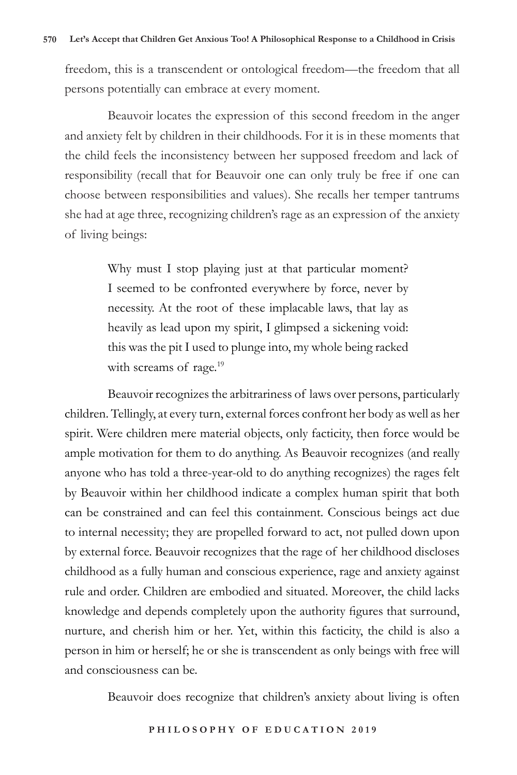freedom, this is a transcendent or ontological freedom—the freedom that all persons potentially can embrace at every moment.

Beauvoir locates the expression of this second freedom in the anger and anxiety felt by children in their childhoods. For it is in these moments that the child feels the inconsistency between her supposed freedom and lack of responsibility (recall that for Beauvoir one can only truly be free if one can choose between responsibilities and values). She recalls her temper tantrums she had at age three, recognizing children's rage as an expression of the anxiety of living beings:

> Why must I stop playing just at that particular moment? I seemed to be confronted everywhere by force, never by necessity. At the root of these implacable laws, that lay as heavily as lead upon my spirit, I glimpsed a sickening void: this was the pit I used to plunge into, my whole being racked with screams of rage.<sup>19</sup>

Beauvoir recognizes the arbitrariness of laws over persons, particularly children. Tellingly, at every turn, external forces confront her body as well as her spirit. Were children mere material objects, only facticity, then force would be ample motivation for them to do anything. As Beauvoir recognizes (and really anyone who has told a three-year-old to do anything recognizes) the rages felt by Beauvoir within her childhood indicate a complex human spirit that both can be constrained and can feel this containment. Conscious beings act due to internal necessity; they are propelled forward to act, not pulled down upon by external force. Beauvoir recognizes that the rage of her childhood discloses childhood as a fully human and conscious experience, rage and anxiety against rule and order. Children are embodied and situated. Moreover, the child lacks knowledge and depends completely upon the authority figures that surround, nurture, and cherish him or her. Yet, within this facticity, the child is also a person in him or herself; he or she is transcendent as only beings with free will and consciousness can be.

Beauvoir does recognize that children's anxiety about living is often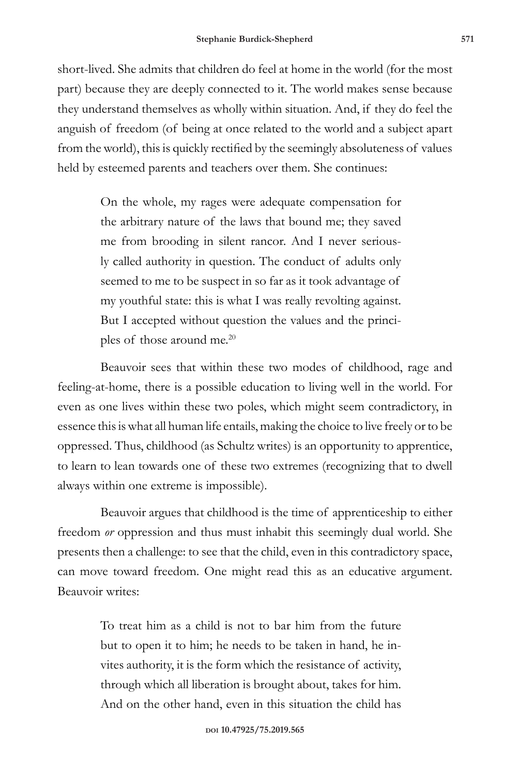short-lived. She admits that children do feel at home in the world (for the most part) because they are deeply connected to it. The world makes sense because they understand themselves as wholly within situation. And, if they do feel the anguish of freedom (of being at once related to the world and a subject apart from the world), this is quickly rectified by the seemingly absoluteness of values held by esteemed parents and teachers over them. She continues:

> On the whole, my rages were adequate compensation for the arbitrary nature of the laws that bound me; they saved me from brooding in silent rancor. And I never seriously called authority in question. The conduct of adults only seemed to me to be suspect in so far as it took advantage of my youthful state: this is what I was really revolting against. But I accepted without question the values and the principles of those around me.<sup>20</sup>

Beauvoir sees that within these two modes of childhood, rage and feeling-at-home, there is a possible education to living well in the world. For even as one lives within these two poles, which might seem contradictory, in essence this is what all human life entails, making the choice to live freely or to be oppressed. Thus, childhood (as Schultz writes) is an opportunity to apprentice, to learn to lean towards one of these two extremes (recognizing that to dwell always within one extreme is impossible).

Beauvoir argues that childhood is the time of apprenticeship to either freedom *or* oppression and thus must inhabit this seemingly dual world. She presents then a challenge: to see that the child, even in this contradictory space, can move toward freedom. One might read this as an educative argument. Beauvoir writes:

> To treat him as a child is not to bar him from the future but to open it to him; he needs to be taken in hand, he invites authority, it is the form which the resistance of activity, through which all liberation is brought about, takes for him. And on the other hand, even in this situation the child has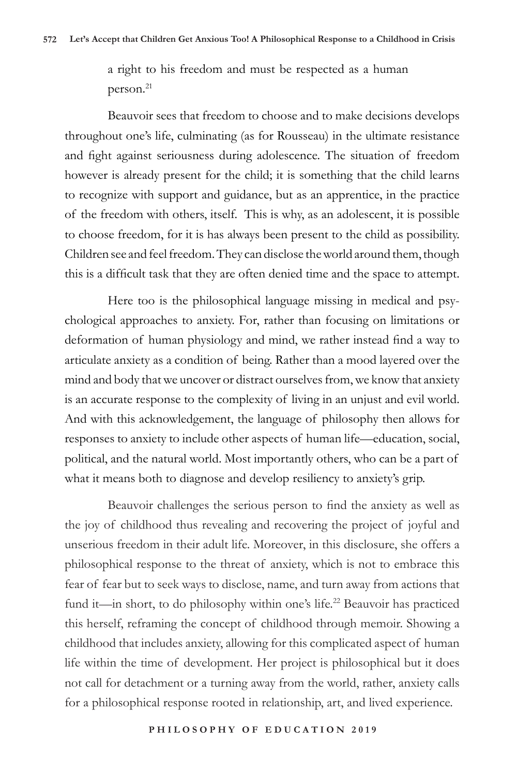a right to his freedom and must be respected as a human person.21

Beauvoir sees that freedom to choose and to make decisions develops throughout one's life, culminating (as for Rousseau) in the ultimate resistance and fight against seriousness during adolescence. The situation of freedom however is already present for the child; it is something that the child learns to recognize with support and guidance, but as an apprentice, in the practice of the freedom with others, itself. This is why, as an adolescent, it is possible to choose freedom, for it is has always been present to the child as possibility. Children see and feel freedom. They can disclose the world around them, though this is a difficult task that they are often denied time and the space to attempt.

Here too is the philosophical language missing in medical and psychological approaches to anxiety. For, rather than focusing on limitations or deformation of human physiology and mind, we rather instead find a way to articulate anxiety as a condition of being. Rather than a mood layered over the mind and body that we uncover or distract ourselves from, we know that anxiety is an accurate response to the complexity of living in an unjust and evil world. And with this acknowledgement, the language of philosophy then allows for responses to anxiety to include other aspects of human life—education, social, political, and the natural world. Most importantly others, who can be a part of what it means both to diagnose and develop resiliency to anxiety's grip.

Beauvoir challenges the serious person to find the anxiety as well as the joy of childhood thus revealing and recovering the project of joyful and unserious freedom in their adult life. Moreover, in this disclosure, she offers a philosophical response to the threat of anxiety, which is not to embrace this fear of fear but to seek ways to disclose, name, and turn away from actions that fund it—in short, to do philosophy within one's life.<sup>22</sup> Beauvoir has practiced this herself, reframing the concept of childhood through memoir. Showing a childhood that includes anxiety, allowing for this complicated aspect of human life within the time of development. Her project is philosophical but it does not call for detachment or a turning away from the world, rather, anxiety calls for a philosophical response rooted in relationship, art, and lived experience.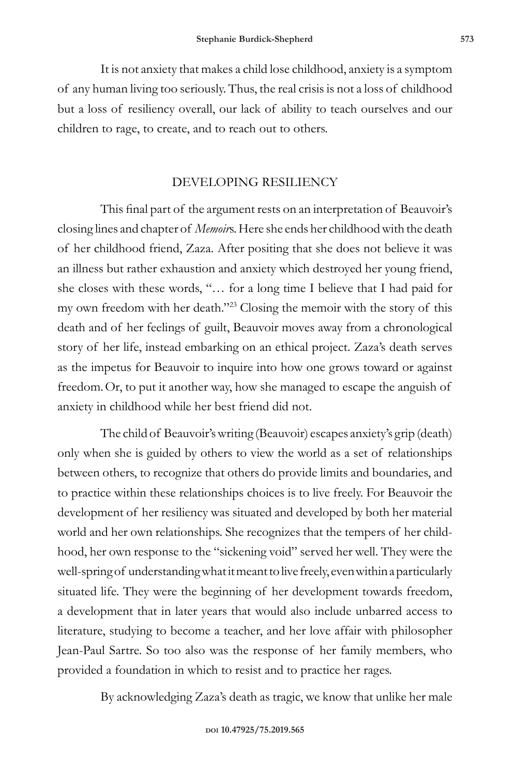It is not anxiety that makes a child lose childhood, anxiety is a symptom of any human living too seriously. Thus, the real crisis is not a loss of childhood but a loss of resiliency overall, our lack of ability to teach ourselves and our children to rage, to create, and to reach out to others.

### DEVELOPING RESILIENCY

This final part of the argument rests on an interpretation of Beauvoir's closing lines and chapter of *Memoir*s. Here she ends her childhood with the death of her childhood friend, Zaza. After positing that she does not believe it was an illness but rather exhaustion and anxiety which destroyed her young friend, she closes with these words, "… for a long time I believe that I had paid for my own freedom with her death."23 Closing the memoir with the story of this death and of her feelings of guilt, Beauvoir moves away from a chronological story of her life, instead embarking on an ethical project. Zaza's death serves as the impetus for Beauvoir to inquire into how one grows toward or against freedom.Or, to put it another way, how she managed to escape the anguish of anxiety in childhood while her best friend did not.

The child of Beauvoir's writing (Beauvoir) escapes anxiety's grip (death) only when she is guided by others to view the world as a set of relationships between others, to recognize that others do provide limits and boundaries, and to practice within these relationships choices is to live freely. For Beauvoir the development of her resiliency was situated and developed by both her material world and her own relationships. She recognizes that the tempers of her childhood, her own response to the "sickening void" served her well. They were the well-spring of understanding what it meant to live freely, even within a particularly situated life. They were the beginning of her development towards freedom, a development that in later years that would also include unbarred access to literature, studying to become a teacher, and her love affair with philosopher Jean-Paul Sartre. So too also was the response of her family members, who provided a foundation in which to resist and to practice her rages.

By acknowledging Zaza's death as tragic, we know that unlike her male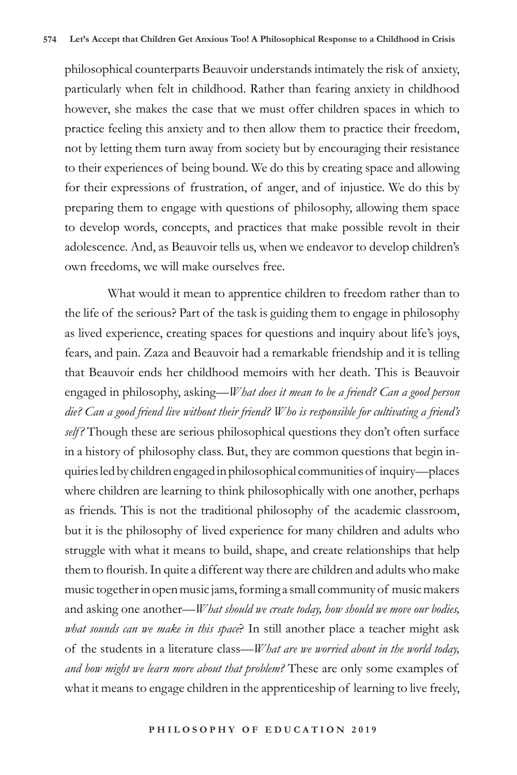philosophical counterparts Beauvoir understands intimately the risk of anxiety, particularly when felt in childhood. Rather than fearing anxiety in childhood however, she makes the case that we must offer children spaces in which to practice feeling this anxiety and to then allow them to practice their freedom, not by letting them turn away from society but by encouraging their resistance to their experiences of being bound. We do this by creating space and allowing for their expressions of frustration, of anger, and of injustice. We do this by preparing them to engage with questions of philosophy, allowing them space to develop words, concepts, and practices that make possible revolt in their adolescence. And, as Beauvoir tells us, when we endeavor to develop children's own freedoms, we will make ourselves free.

What would it mean to apprentice children to freedom rather than to the life of the serious? Part of the task is guiding them to engage in philosophy as lived experience, creating spaces for questions and inquiry about life's joys, fears, and pain. Zaza and Beauvoir had a remarkable friendship and it is telling that Beauvoir ends her childhood memoirs with her death. This is Beauvoir engaged in philosophy, asking—*What does it mean to be a friend? Can a good person die? Can a good friend live without their friend? Who is responsible for cultivating a friend's self?* Though these are serious philosophical questions they don't often surface in a history of philosophy class. But, they are common questions that begin inquiries led by children engaged in philosophical communities of inquiry—places where children are learning to think philosophically with one another, perhaps as friends. This is not the traditional philosophy of the academic classroom, but it is the philosophy of lived experience for many children and adults who struggle with what it means to build, shape, and create relationships that help them to flourish. In quite a different way there are children and adults who make music together in open music jams, forming a small community of music makers and asking one another—*What should we create today, how should we move our bodies, what sounds can we make in this space*? In still another place a teacher might ask of the students in a literature class—*What are we worried about in the world today, and how might we learn more about that problem?* These are only some examples of what it means to engage children in the apprenticeship of learning to live freely,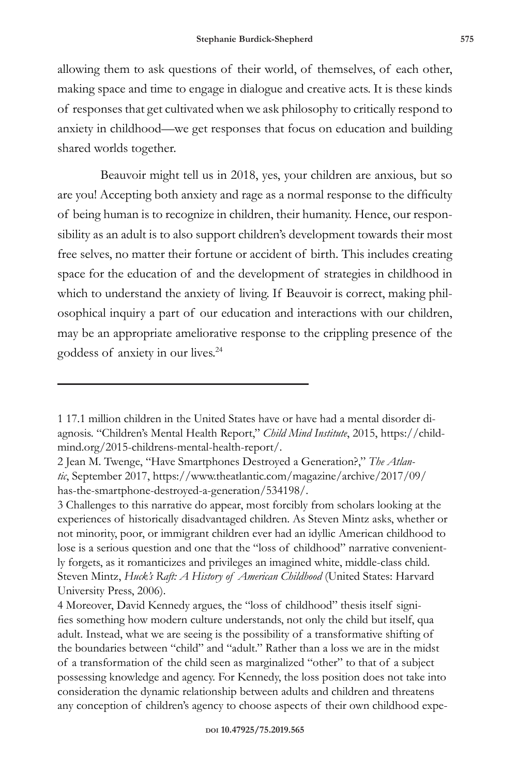allowing them to ask questions of their world, of themselves, of each other, making space and time to engage in dialogue and creative acts. It is these kinds of responses that get cultivated when we ask philosophy to critically respond to anxiety in childhood—we get responses that focus on education and building shared worlds together.

Beauvoir might tell us in 2018, yes, your children are anxious, but so are you! Accepting both anxiety and rage as a normal response to the difficulty of being human is to recognize in children, their humanity. Hence, our responsibility as an adult is to also support children's development towards their most free selves, no matter their fortune or accident of birth. This includes creating space for the education of and the development of strategies in childhood in which to understand the anxiety of living. If Beauvoir is correct, making philosophical inquiry a part of our education and interactions with our children, may be an appropriate ameliorative response to the crippling presence of the goddess of anxiety in our lives.24

<sup>1 17.1</sup> million children in the United States have or have had a mental disorder diagnosis. "Children's Mental Health Report," *Child Mind Institute*, 2015, https://childmind.org/2015-childrens-mental-health-report/.

<sup>2</sup> Jean M. Twenge, "Have Smartphones Destroyed a Generation?," *The Atlantic*, September 2017, https://www.theatlantic.com/magazine/archive/2017/09/ has-the-smartphone-destroyed-a-generation/534198/.

<sup>3</sup> Challenges to this narrative do appear, most forcibly from scholars looking at the experiences of historically disadvantaged children. As Steven Mintz asks, whether or not minority, poor, or immigrant children ever had an idyllic American childhood to lose is a serious question and one that the "loss of childhood" narrative conveniently forgets, as it romanticizes and privileges an imagined white, middle-class child. Steven Mintz, *Huck's Raft: A History of American Childhood* (United States: Harvard University Press, 2006).

<sup>4</sup> Moreover, David Kennedy argues, the "loss of childhood" thesis itself signifies something how modern culture understands, not only the child but itself, qua adult. Instead, what we are seeing is the possibility of a transformative shifting of the boundaries between "child" and "adult." Rather than a loss we are in the midst of a transformation of the child seen as marginalized "other" to that of a subject possessing knowledge and agency. For Kennedy, the loss position does not take into consideration the dynamic relationship between adults and children and threatens any conception of children's agency to choose aspects of their own childhood expe-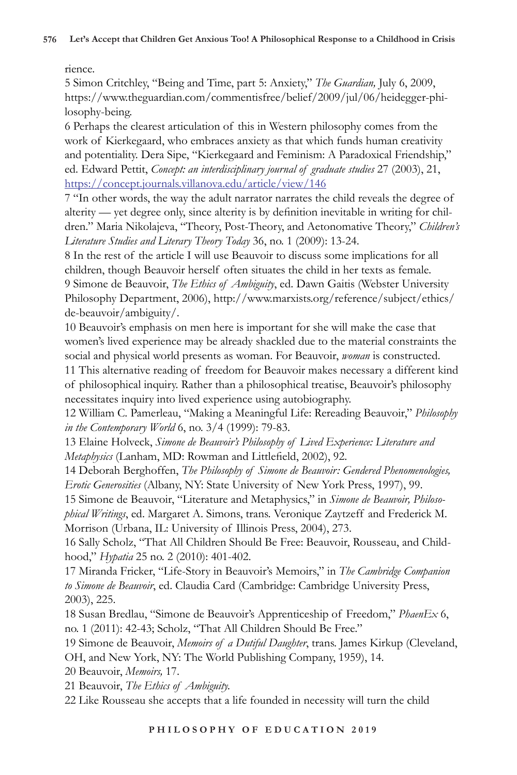### rience.

5 Simon Critchley, "Being and Time, part 5: Anxiety," *The Guardian,* July 6, 2009, https://www.theguardian.com/commentisfree/belief/2009/jul/06/heidegger-philosophy-being.

6 Perhaps the clearest articulation of this in Western philosophy comes from the work of Kierkegaard, who embraces anxiety as that which funds human creativity and potentiality. Dera Sipe, "Kierkegaard and Feminism: A Paradoxical Friendship," ed. Edward Pettit, *Concept: an interdisciplinary journal of graduate studies* 27 (2003), 21, https://concept.journals.villanova.edu/article/view/146

7 "In other words, the way the adult narrator narrates the child reveals the degree of alterity — yet degree only, since alterity is by definition inevitable in writing for children." Maria Nikolajeva, "Theory, Post-Theory, and Aetonomative Theory," *Children's Literature Studies and Literary Theory Today* 36, no. 1 (2009): 13-24.

8 In the rest of the article I will use Beauvoir to discuss some implications for all children, though Beauvoir herself often situates the child in her texts as female. 9 Simone de Beauvoir, *The Ethics of Ambiguity*, ed. Dawn Gaitis (Webster University Philosophy Department, 2006), http://www.marxists.org/reference/subject/ethics/ de-beauvoir/ambiguity/.

10 Beauvoir's emphasis on men here is important for she will make the case that women's lived experience may be already shackled due to the material constraints the social and physical world presents as woman. For Beauvoir, *woman* is constructed.

11 This alternative reading of freedom for Beauvoir makes necessary a different kind of philosophical inquiry. Rather than a philosophical treatise, Beauvoir's philosophy necessitates inquiry into lived experience using autobiography.

12 William C. Pamerleau, "Making a Meaningful Life: Rereading Beauvoir," *Philosophy in the Contemporary World* 6, no. 3/4 (1999): 79-83.

13 Elaine Holveck, *Simone de Beauvoir's Philosophy of Lived Experience: Literature and Metaphysics* (Lanham, MD: Rowman and Littlefield, 2002), 92.

14 Deborah Berghoffen, *The Philosophy of Simone de Beauvoir: Gendered Phenomenologies, Erotic Generosities* (Albany, NY: State University of New York Press, 1997), 99.

15 Simone de Beauvoir, "Literature and Metaphysics," in *Simone de Beauvoir, Philosophical Writings*, ed. Margaret A. Simons, trans. Veronique Zaytzeff and Frederick M. Morrison (Urbana, IL: University of Illinois Press, 2004), 273.

16 Sally Scholz, "That All Children Should Be Free: Beauvoir, Rousseau, and Childhood," *Hypatia* 25 no. 2 (2010): 401-402.

17 Miranda Fricker, "Life-Story in Beauvoir's Memoirs," in *The Cambridge Companion to Simone de Beauvoir*, ed. Claudia Card (Cambridge: Cambridge University Press, 2003), 225.

18 Susan Bredlau, "Simone de Beauvoir's Apprenticeship of Freedom," *PhaenEx* 6, no. 1 (2011): 42-43; Scholz, "That All Children Should Be Free."

19 Simone de Beauvoir, *Memoirs of a Dutiful Daughter*, trans. James Kirkup (Cleveland, OH, and New York, NY: The World Publishing Company, 1959), 14.

20 Beauvoir, *Memoirs,* 17.

21 Beauvoir, *The Ethics of Ambiguity.*

22 Like Rousseau she accepts that a life founded in necessity will turn the child